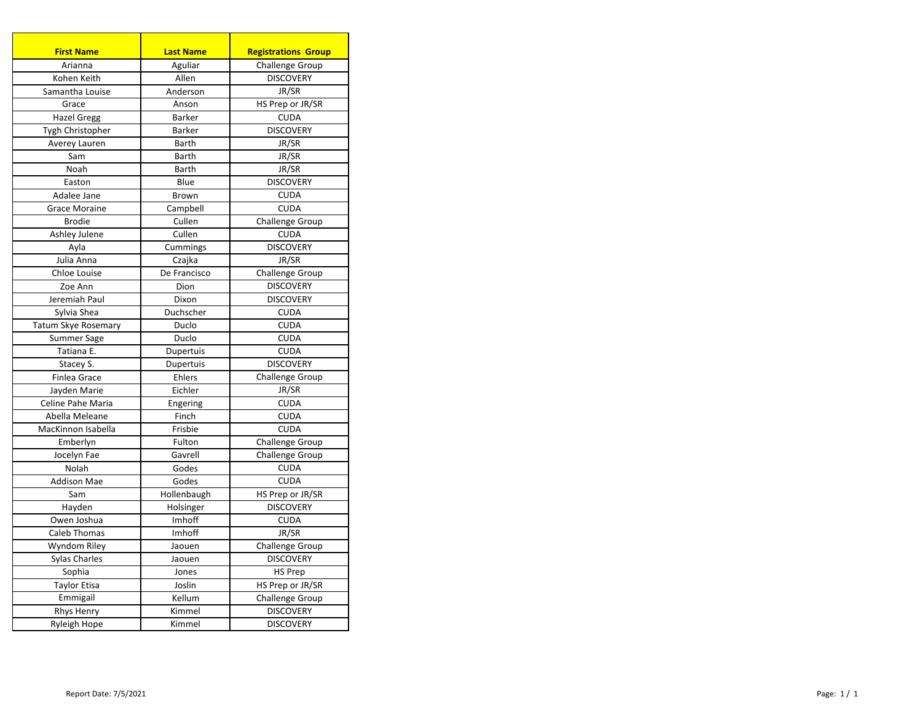| <b>First Name</b>                     | <b>Last Name</b>   | <b>Registrations Group</b> |
|---------------------------------------|--------------------|----------------------------|
| Arianna                               | Aguliar            | Challenge Group            |
| Kohen Keith                           | Allen              | <b>DISCOVERY</b>           |
| Samantha Louise                       | Anderson           | JR/SR                      |
| Grace                                 | Anson              | HS Prep or JR/SR           |
| <b>Hazel Gregg</b>                    | Barker             | <b>CUDA</b>                |
| Tygh Christopher                      | Barker             | <b>DISCOVERY</b>           |
| Averey Lauren                         | Barth              | JR/SR                      |
| Sam                                   | Barth              | JR/SR                      |
| Noah                                  | Barth              | JR/SR                      |
| Easton                                | Blue               | <b>DISCOVERY</b>           |
| Adalee Jane                           |                    |                            |
|                                       | Brown              | <b>CUDA</b><br><b>CUDA</b> |
| <b>Grace Moraine</b><br><b>Brodie</b> | Campbell<br>Cullen |                            |
|                                       |                    | Challenge Group            |
| Ashley Julene                         | Cullen             | <b>CUDA</b>                |
| Ayla                                  | Cummings           | <b>DISCOVERY</b>           |
| Julia Anna                            | Czajka             | JR/SR                      |
| Chloe Louise                          | De Francisco       | Challenge Group            |
| Zoe Ann                               | Dion               | <b>DISCOVERY</b>           |
| Jeremiah Paul                         | Dixon              | <b>DISCOVERY</b>           |
| Sylvia Shea                           | Duchscher          | <b>CUDA</b>                |
| Tatum Skye Rosemary                   | Duclo              | <b>CUDA</b>                |
| Summer Sage                           | Duclo              | <b>CUDA</b>                |
| Tatiana E.                            | Dupertuis          | <b>CUDA</b>                |
| Stacey S.                             | Dupertuis          | <b>DISCOVERY</b>           |
| Finlea Grace                          | Ehlers             | Challenge Group            |
| Jayden Marie                          | Eichler            | JR/SR                      |
| Celine Pahe Maria                     | Engering           | <b>CUDA</b>                |
| Abella Meleane                        | Finch              | <b>CUDA</b>                |
| MacKinnon Isabella                    | Frisbie            | <b>CUDA</b>                |
| Emberlyn                              | Fulton             | Challenge Group            |
| Jocelyn Fae                           | Gavrell            | <b>Challenge Group</b>     |
| Nolah                                 | Godes              | <b>CUDA</b>                |
| <b>Addison Mae</b>                    | Godes              | <b>CUDA</b>                |
| Sam                                   | Hollenbaugh        | HS Prep or JR/SR           |
| Hayden                                | Holsinger          | <b>DISCOVERY</b>           |
| Owen Joshua                           | Imhoff             | <b>CUDA</b>                |
| Caleb Thomas                          | Imhoff             | JR/SR                      |
| Wyndom Riley                          | Jaouen             | Challenge Group            |
| <b>Sylas Charles</b>                  | Jaouen             | <b>DISCOVERY</b>           |
| Sophia                                | Jones              | <b>HS Prep</b>             |
| <b>Taylor Etisa</b>                   | Joslin             | HS Prep or JR/SR           |
| Emmigail                              | Kellum             | Challenge Group            |
| Rhys Henry                            | Kimmel             | <b>DISCOVERY</b>           |
| Ryleigh Hope                          | Kimmel             | <b>DISCOVERY</b>           |